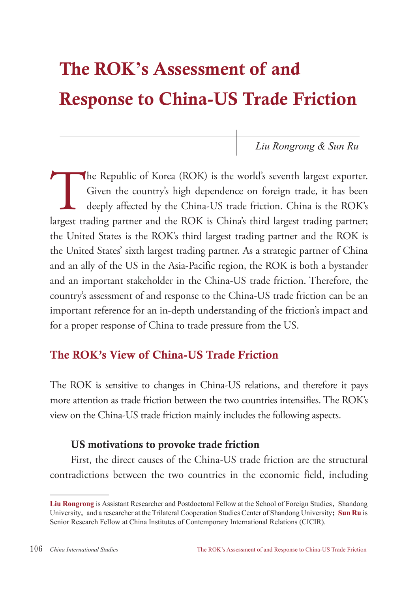# The ROK**'**s Assessment of and Response to China-US Trade Friction

*Liu Rongrong & Sun Ru*

The Republic of Korea (ROK) is the world's seventh largest exporter.<br>Given the country's high dependence on foreign trade, it has been<br>deeply affected by the China-US trade friction. China is the ROK's<br>largest trading part Given the country's high dependence on foreign trade, it has been deeply affected by the China-US trade friction. China is the ROK's largest trading partner and the ROK is China's third largest trading partner; the United States is the ROK's third largest trading partner and the ROK is the United States' sixth largest trading partner. As a strategic partner of China and an ally of the US in the Asia-Pacific region, the ROK is both a bystander and an important stakeholder in the China-US trade friction. Therefore, the country's assessment of and response to the China-US trade friction can be an important reference for an in-depth understanding of the friction's impact and for a proper response of China to trade pressure from the US.

## The ROK's View of China-US Trade Friction

The ROK is sensitive to changes in China-US relations, and therefore it pays more attention as trade friction between the two countries intensifies. The ROK's view on the China-US trade friction mainly includes the following aspects.

#### US motivations to provoke trade friction

First, the direct causes of the China-US trade friction are the structural contradictions between the two countries in the economic field, including

**Liu Rongrong** is Assistant Researcher and Postdoctoral Fellow at the School of Foreign Studies, Shandong University, and a researcher at the Trilateral Cooperation Studies Center of Shandong University; **Sun Ru** is Senior Research Fellow at China Institutes of Contemporary International Relations (CICIR).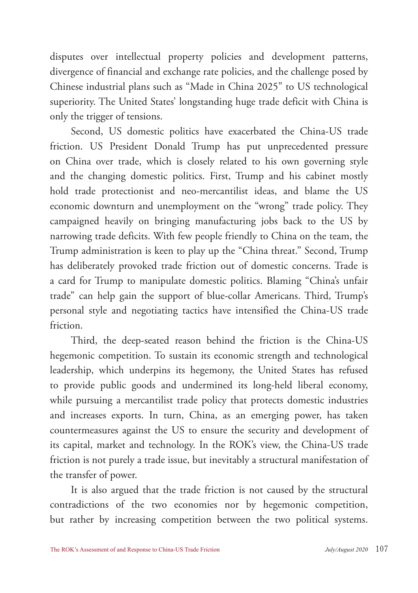disputes over intellectual property policies and development patterns, divergence of financial and exchange rate policies, and the challenge posed by Chinese industrial plans such as "Made in China 2025" to US technological superiority. The United States' longstanding huge trade deficit with China is only the trigger of tensions.

Second, US domestic politics have exacerbated the China-US trade friction. US President Donald Trump has put unprecedented pressure on China over trade, which is closely related to his own governing style and the changing domestic politics. First, Trump and his cabinet mostly hold trade protectionist and neo-mercantilist ideas, and blame the US economic downturn and unemployment on the "wrong" trade policy. They campaigned heavily on bringing manufacturing jobs back to the US by narrowing trade deficits. With few people friendly to China on the team, the Trump administration is keen to play up the "China threat." Second, Trump has deliberately provoked trade friction out of domestic concerns. Trade is a card for Trump to manipulate domestic politics. Blaming "China's unfair trade" can help gain the support of blue-collar Americans. Third, Trump's personal style and negotiating tactics have intensified the China-US trade friction.

Third, the deep-seated reason behind the friction is the China-US hegemonic competition. To sustain its economic strength and technological leadership, which underpins its hegemony, the United States has refused to provide public goods and undermined its long-held liberal economy, while pursuing a mercantilist trade policy that protects domestic industries and increases exports. In turn, China, as an emerging power, has taken countermeasures against the US to ensure the security and development of its capital, market and technology. In the ROK's view, the China-US trade friction is not purely a trade issue, but inevitably a structural manifestation of the transfer of power.

It is also argued that the trade friction is not caused by the structural contradictions of the two economies nor by hegemonic competition, but rather by increasing competition between the two political systems.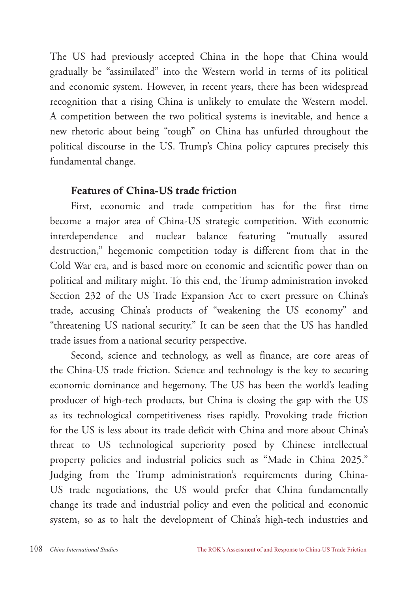The US had previously accepted China in the hope that China would gradually be "assimilated" into the Western world in terms of its political and economic system. However, in recent years, there has been widespread recognition that a rising China is unlikely to emulate the Western model. A competition between the two political systems is inevitable, and hence a new rhetoric about being "tough" on China has unfurled throughout the political discourse in the US. Trump's China policy captures precisely this fundamental change.

### Features of China-US trade friction

First, economic and trade competition has for the first time become a major area of China-US strategic competition. With economic interdependence and nuclear balance featuring "mutually assured destruction," hegemonic competition today is different from that in the Cold War era, and is based more on economic and scientific power than on political and military might. To this end, the Trump administration invoked Section 232 of the US Trade Expansion Act to exert pressure on China's trade, accusing China's products of "weakening the US economy" and "threatening US national security." It can be seen that the US has handled trade issues from a national security perspective.

Second, science and technology, as well as finance, are core areas of the China-US trade friction. Science and technology is the key to securing economic dominance and hegemony. The US has been the world's leading producer of high-tech products, but China is closing the gap with the US as its technological competitiveness rises rapidly. Provoking trade friction for the US is less about its trade deficit with China and more about China's threat to US technological superiority posed by Chinese intellectual property policies and industrial policies such as "Made in China 2025." Judging from the Trump administration's requirements during China-US trade negotiations, the US would prefer that China fundamentally change its trade and industrial policy and even the political and economic system, so as to halt the development of China's high-tech industries and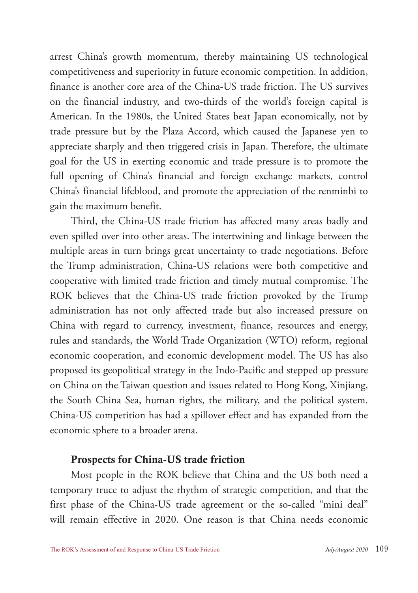arrest China's growth momentum, thereby maintaining US technological competitiveness and superiority in future economic competition. In addition, finance is another core area of the China-US trade friction. The US survives on the financial industry, and two-thirds of the world's foreign capital is American. In the 1980s, the United States beat Japan economically, not by trade pressure but by the Plaza Accord, which caused the Japanese yen to appreciate sharply and then triggered crisis in Japan. Therefore, the ultimate goal for the US in exerting economic and trade pressure is to promote the full opening of China's financial and foreign exchange markets, control China's financial lifeblood, and promote the appreciation of the renminbi to gain the maximum benefit.

Third, the China-US trade friction has affected many areas badly and even spilled over into other areas. The intertwining and linkage between the multiple areas in turn brings great uncertainty to trade negotiations. Before the Trump administration, China-US relations were both competitive and cooperative with limited trade friction and timely mutual compromise. The ROK believes that the China-US trade friction provoked by the Trump administration has not only affected trade but also increased pressure on China with regard to currency, investment, finance, resources and energy, rules and standards, the World Trade Organization (WTO) reform, regional economic cooperation, and economic development model. The US has also proposed its geopolitical strategy in the Indo-Pacific and stepped up pressure on China on the Taiwan question and issues related to Hong Kong, Xinjiang, the South China Sea, human rights, the military, and the political system. China-US competition has had a spillover effect and has expanded from the economic sphere to a broader arena.

#### Prospects for China-US trade friction

Most people in the ROK believe that China and the US both need a temporary truce to adjust the rhythm of strategic competition, and that the first phase of the China-US trade agreement or the so-called "mini deal" will remain effective in 2020. One reason is that China needs economic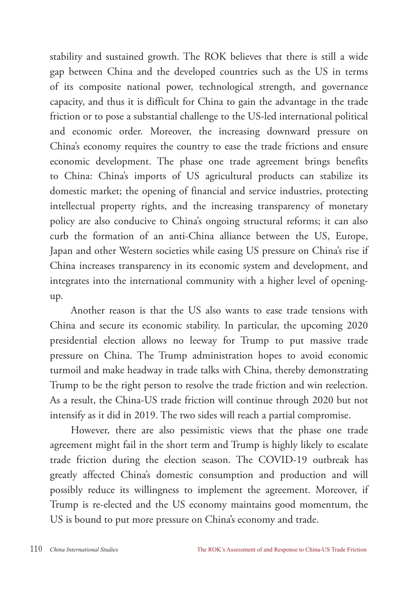stability and sustained growth. The ROK believes that there is still a wide gap between China and the developed countries such as the US in terms of its composite national power, technological strength, and governance capacity, and thus it is difficult for China to gain the advantage in the trade friction or to pose a substantial challenge to the US-led international political and economic order. Moreover, the increasing downward pressure on China's economy requires the country to ease the trade frictions and ensure economic development. The phase one trade agreement brings benefits to China: China's imports of US agricultural products can stabilize its domestic market; the opening of financial and service industries, protecting intellectual property rights, and the increasing transparency of monetary policy are also conducive to China's ongoing structural reforms; it can also curb the formation of an anti-China alliance between the US, Europe, Japan and other Western societies while easing US pressure on China's rise if China increases transparency in its economic system and development, and integrates into the international community with a higher level of openingup.

Another reason is that the US also wants to ease trade tensions with China and secure its economic stability. In particular, the upcoming 2020 presidential election allows no leeway for Trump to put massive trade pressure on China. The Trump administration hopes to avoid economic turmoil and make headway in trade talks with China, thereby demonstrating Trump to be the right person to resolve the trade friction and win reelection. As a result, the China-US trade friction will continue through 2020 but not intensify as it did in 2019. The two sides will reach a partial compromise.

However, there are also pessimistic views that the phase one trade agreement might fail in the short term and Trump is highly likely to escalate trade friction during the election season. The COVID-19 outbreak has greatly affected China's domestic consumption and production and will possibly reduce its willingness to implement the agreement. Moreover, if Trump is re-elected and the US economy maintains good momentum, the US is bound to put more pressure on China's economy and trade.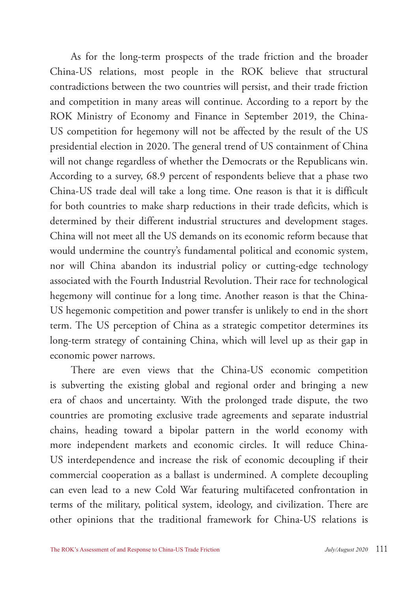As for the long-term prospects of the trade friction and the broader China-US relations, most people in the ROK believe that structural contradictions between the two countries will persist, and their trade friction and competition in many areas will continue. According to a report by the ROK Ministry of Economy and Finance in September 2019, the China-US competition for hegemony will not be affected by the result of the US presidential election in 2020. The general trend of US containment of China will not change regardless of whether the Democrats or the Republicans win. According to a survey, 68.9 percent of respondents believe that a phase two China-US trade deal will take a long time. One reason is that it is difficult for both countries to make sharp reductions in their trade deficits, which is determined by their different industrial structures and development stages. China will not meet all the US demands on its economic reform because that would undermine the country's fundamental political and economic system, nor will China abandon its industrial policy or cutting-edge technology associated with the Fourth Industrial Revolution. Their race for technological hegemony will continue for a long time. Another reason is that the China-US hegemonic competition and power transfer is unlikely to end in the short term. The US perception of China as a strategic competitor determines its long-term strategy of containing China, which will level up as their gap in economic power narrows.

There are even views that the China-US economic competition is subverting the existing global and regional order and bringing a new era of chaos and uncertainty. With the prolonged trade dispute, the two countries are promoting exclusive trade agreements and separate industrial chains, heading toward a bipolar pattern in the world economy with more independent markets and economic circles. It will reduce China-US interdependence and increase the risk of economic decoupling if their commercial cooperation as a ballast is undermined. A complete decoupling can even lead to a new Cold War featuring multifaceted confrontation in terms of the military, political system, ideology, and civilization. There are other opinions that the traditional framework for China-US relations is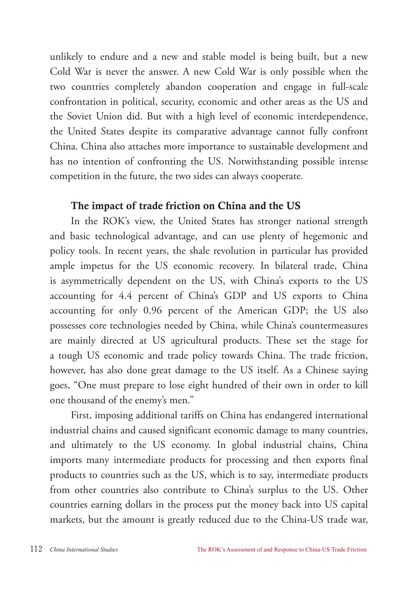unlikely to endure and a new and stable model is being built, but a new Cold War is never the answer. A new Cold War is only possible when the two countries completely abandon cooperation and engage in full-scale confrontation in political, security, economic and other areas as the US and the Soviet Union did. But with a high level of economic interdependence, the United States despite its comparative advantage cannot fully confront China. China also attaches more importance to sustainable development and has no intention of confronting the US. Notwithstanding possible intense competition in the future, the two sides can always cooperate.

#### The impact of trade friction on China and the US

In the ROK's view, the United States has stronger national strength and basic technological advantage, and can use plenty of hegemonic and policy tools. In recent years, the shale revolution in particular has provided ample impetus for the US economic recovery. In bilateral trade, China is asymmetrically dependent on the US, with China's exports to the US accounting for 4.4 percent of China's GDP and US exports to China accounting for only 0.96 percent of the American GDP; the US also possesses core technologies needed by China, while China's countermeasures are mainly directed at US agricultural products. These set the stage for a tough US economic and trade policy towards China. The trade friction, however, has also done great damage to the US itself. As a Chinese saying goes, "One must prepare to lose eight hundred of their own in order to kill one thousand of the enemy's men."

First, imposing additional tariffs on China has endangered international industrial chains and caused significant economic damage to many countries, and ultimately to the US economy. In global industrial chains, China imports many intermediate products for processing and then exports final products to countries such as the US, which is to say, intermediate products from other countries also contribute to China's surplus to the US. Other countries earning dollars in the process put the money back into US capital markets, but the amount is greatly reduced due to the China-US trade war,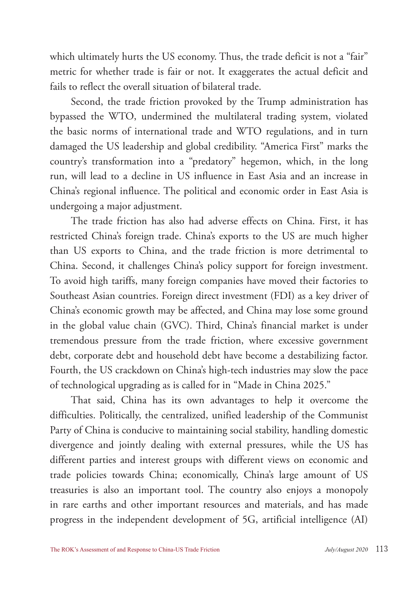which ultimately hurts the US economy. Thus, the trade deficit is not a "fair" metric for whether trade is fair or not. It exaggerates the actual deficit and fails to reflect the overall situation of bilateral trade.

Second, the trade friction provoked by the Trump administration has bypassed the WTO, undermined the multilateral trading system, violated the basic norms of international trade and WTO regulations, and in turn damaged the US leadership and global credibility. "America First" marks the country's transformation into a "predatory" hegemon, which, in the long run, will lead to a decline in US influence in East Asia and an increase in China's regional influence. The political and economic order in East Asia is undergoing a major adjustment.

The trade friction has also had adverse effects on China. First, it has restricted China's foreign trade. China's exports to the US are much higher than US exports to China, and the trade friction is more detrimental to China. Second, it challenges China's policy support for foreign investment. To avoid high tariffs, many foreign companies have moved their factories to Southeast Asian countries. Foreign direct investment (FDI) as a key driver of China's economic growth may be affected, and China may lose some ground in the global value chain (GVC). Third, China's financial market is under tremendous pressure from the trade friction, where excessive government debt, corporate debt and household debt have become a destabilizing factor. Fourth, the US crackdown on China's high-tech industries may slow the pace of technological upgrading as is called for in "Made in China 2025."

That said, China has its own advantages to help it overcome the difficulties. Politically, the centralized, unified leadership of the Communist Party of China is conducive to maintaining social stability, handling domestic divergence and jointly dealing with external pressures, while the US has different parties and interest groups with different views on economic and trade policies towards China; economically, China's large amount of US treasuries is also an important tool. The country also enjoys a monopoly in rare earths and other important resources and materials, and has made progress in the independent development of 5G, artificial intelligence (AI)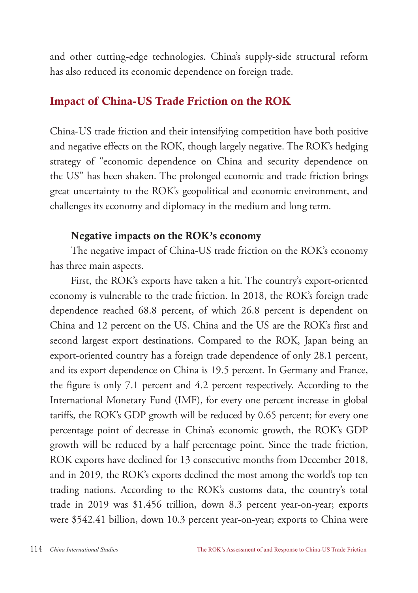and other cutting-edge technologies. China's supply-side structural reform has also reduced its economic dependence on foreign trade.

## Impact of China-US Trade Friction on the ROK

China-US trade friction and their intensifying competition have both positive and negative effects on the ROK, though largely negative. The ROK's hedging strategy of "economic dependence on China and security dependence on the US" has been shaken. The prolonged economic and trade friction brings great uncertainty to the ROK's geopolitical and economic environment, and challenges its economy and diplomacy in the medium and long term.

#### Negative impacts on the ROK's economy

The negative impact of China-US trade friction on the ROK's economy has three main aspects.

First, the ROK's exports have taken a hit. The country's export-oriented economy is vulnerable to the trade friction. In 2018, the ROK's foreign trade dependence reached 68.8 percent, of which 26.8 percent is dependent on China and 12 percent on the US. China and the US are the ROK's first and second largest export destinations. Compared to the ROK, Japan being an export-oriented country has a foreign trade dependence of only 28.1 percent, and its export dependence on China is 19.5 percent. In Germany and France, the figure is only 7.1 percent and 4.2 percent respectively. According to the International Monetary Fund (IMF), for every one percent increase in global tariffs, the ROK's GDP growth will be reduced by 0.65 percent; for every one percentage point of decrease in China's economic growth, the ROK's GDP growth will be reduced by a half percentage point. Since the trade friction, ROK exports have declined for 13 consecutive months from December 2018, and in 2019, the ROK's exports declined the most among the world's top ten trading nations. According to the ROK's customs data, the country's total trade in 2019 was \$1.456 trillion, down 8.3 percent year-on-year; exports were \$542.41 billion, down 10.3 percent year-on-year; exports to China were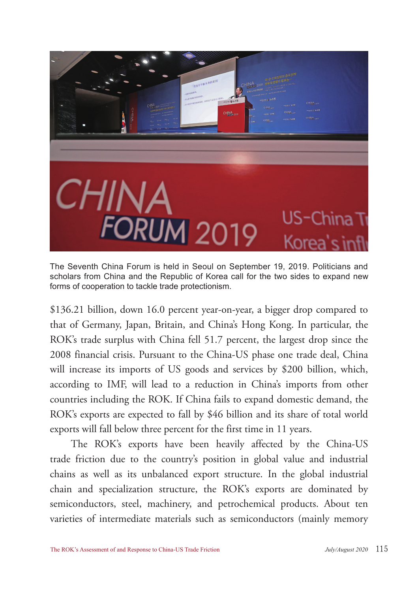

The Seventh China Forum is held in Seoul on September 19, 2019. Politicians and scholars from China and the Republic of Korea call for the two sides to expand new forms of cooperation to tackle trade protectionism.

\$136.21 billion, down 16.0 percent year-on-year, a bigger drop compared to that of Germany, Japan, Britain, and China's Hong Kong. In particular, the ROK's trade surplus with China fell 51.7 percent, the largest drop since the 2008 financial crisis. Pursuant to the China-US phase one trade deal, China will increase its imports of US goods and services by \$200 billion, which, according to IMF, will lead to a reduction in China's imports from other countries including the ROK. If China fails to expand domestic demand, the ROK's exports are expected to fall by \$46 billion and its share of total world exports will fall below three percent for the first time in 11 years.

The ROK's exports have been heavily affected by the China-US trade friction due to the country's position in global value and industrial chains as well as its unbalanced export structure. In the global industrial chain and specialization structure, the ROK's exports are dominated by semiconductors, steel, machinery, and petrochemical products. About ten varieties of intermediate materials such as semiconductors (mainly memory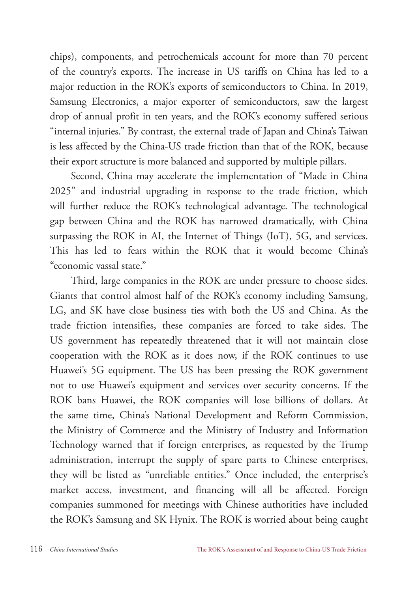chips), components, and petrochemicals account for more than 70 percent of the country's exports. The increase in US tariffs on China has led to a major reduction in the ROK's exports of semiconductors to China. In 2019, Samsung Electronics, a major exporter of semiconductors, saw the largest drop of annual profit in ten years, and the ROK's economy suffered serious "internal injuries." By contrast, the external trade of Japan and China's Taiwan is less affected by the China-US trade friction than that of the ROK, because their export structure is more balanced and supported by multiple pillars.

Second, China may accelerate the implementation of "Made in China 2025" and industrial upgrading in response to the trade friction, which will further reduce the ROK's technological advantage. The technological gap between China and the ROK has narrowed dramatically, with China surpassing the ROK in AI, the Internet of Things (IoT), 5G, and services. This has led to fears within the ROK that it would become China's "economic vassal state."

Third, large companies in the ROK are under pressure to choose sides. Giants that control almost half of the ROK's economy including Samsung, LG, and SK have close business ties with both the US and China. As the trade friction intensifies, these companies are forced to take sides. The US government has repeatedly threatened that it will not maintain close cooperation with the ROK as it does now, if the ROK continues to use Huawei's 5G equipment. The US has been pressing the ROK government not to use Huawei's equipment and services over security concerns. If the ROK bans Huawei, the ROK companies will lose billions of dollars. At the same time, China's National Development and Reform Commission, the Ministry of Commerce and the Ministry of Industry and Information Technology warned that if foreign enterprises, as requested by the Trump administration, interrupt the supply of spare parts to Chinese enterprises, they will be listed as "unreliable entities." Once included, the enterprise's market access, investment, and financing will all be affected. Foreign companies summoned for meetings with Chinese authorities have included the ROK's Samsung and SK Hynix. The ROK is worried about being caught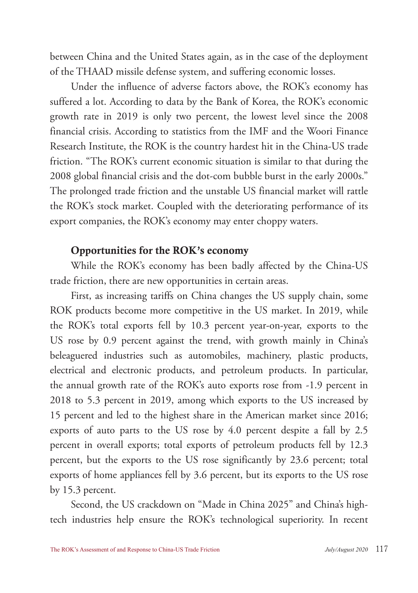between China and the United States again, as in the case of the deployment of the THAAD missile defense system, and suffering economic losses.

Under the influence of adverse factors above, the ROK's economy has suffered a lot. According to data by the Bank of Korea, the ROK's economic growth rate in 2019 is only two percent, the lowest level since the 2008 financial crisis. According to statistics from the IMF and the Woori Finance Research Institute, the ROK is the country hardest hit in the China-US trade friction. "The ROK's current economic situation is similar to that during the 2008 global financial crisis and the dot-com bubble burst in the early 2000s." The prolonged trade friction and the unstable US financial market will rattle the ROK's stock market. Coupled with the deteriorating performance of its export companies, the ROK's economy may enter choppy waters.

#### Opportunities for the ROK's economy

While the ROK's economy has been badly affected by the China-US trade friction, there are new opportunities in certain areas.

First, as increasing tariffs on China changes the US supply chain, some ROK products become more competitive in the US market. In 2019, while the ROK's total exports fell by 10.3 percent year-on-year, exports to the US rose by 0.9 percent against the trend, with growth mainly in China's beleaguered industries such as automobiles, machinery, plastic products, electrical and electronic products, and petroleum products. In particular, the annual growth rate of the ROK's auto exports rose from -1.9 percent in 2018 to 5.3 percent in 2019, among which exports to the US increased by 15 percent and led to the highest share in the American market since 2016; exports of auto parts to the US rose by 4.0 percent despite a fall by 2.5 percent in overall exports; total exports of petroleum products fell by 12.3 percent, but the exports to the US rose significantly by 23.6 percent; total exports of home appliances fell by 3.6 percent, but its exports to the US rose by 15.3 percent.

Second, the US crackdown on "Made in China 2025" and China's hightech industries help ensure the ROK's technological superiority. In recent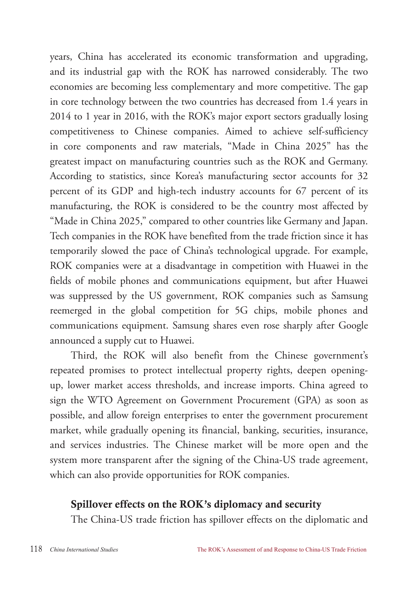years, China has accelerated its economic transformation and upgrading, and its industrial gap with the ROK has narrowed considerably. The two economies are becoming less complementary and more competitive. The gap in core technology between the two countries has decreased from 1.4 years in 2014 to 1 year in 2016, with the ROK's major export sectors gradually losing competitiveness to Chinese companies. Aimed to achieve self-sufficiency in core components and raw materials, "Made in China 2025" has the greatest impact on manufacturing countries such as the ROK and Germany. According to statistics, since Korea's manufacturing sector accounts for 32 percent of its GDP and high-tech industry accounts for 67 percent of its manufacturing, the ROK is considered to be the country most affected by "Made in China 2025," compared to other countries like Germany and Japan. Tech companies in the ROK have benefited from the trade friction since it has temporarily slowed the pace of China's technological upgrade. For example, ROK companies were at a disadvantage in competition with Huawei in the fields of mobile phones and communications equipment, but after Huawei was suppressed by the US government, ROK companies such as Samsung reemerged in the global competition for 5G chips, mobile phones and communications equipment. Samsung shares even rose sharply after Google announced a supply cut to Huawei.

Third, the ROK will also benefit from the Chinese government's repeated promises to protect intellectual property rights, deepen openingup, lower market access thresholds, and increase imports. China agreed to sign the WTO Agreement on Government Procurement (GPA) as soon as possible, and allow foreign enterprises to enter the government procurement market, while gradually opening its financial, banking, securities, insurance, and services industries. The Chinese market will be more open and the system more transparent after the signing of the China-US trade agreement, which can also provide opportunities for ROK companies.

#### Spillover effects on the ROK's diplomacy and security

The China-US trade friction has spillover effects on the diplomatic and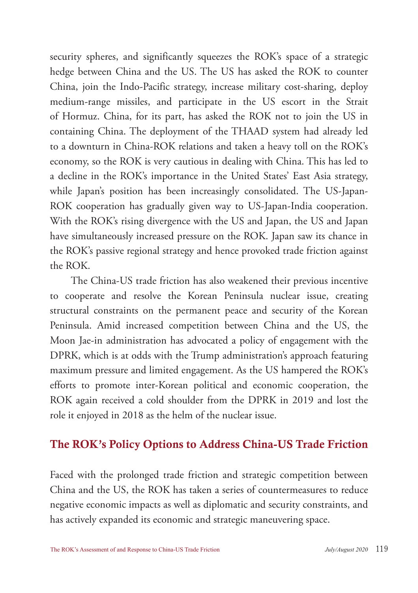security spheres, and significantly squeezes the ROK's space of a strategic hedge between China and the US. The US has asked the ROK to counter China, join the Indo-Pacific strategy, increase military cost-sharing, deploy medium-range missiles, and participate in the US escort in the Strait of Hormuz. China, for its part, has asked the ROK not to join the US in containing China. The deployment of the THAAD system had already led to a downturn in China-ROK relations and taken a heavy toll on the ROK's economy, so the ROK is very cautious in dealing with China. This has led to a decline in the ROK's importance in the United States' East Asia strategy, while Japan's position has been increasingly consolidated. The US-Japan-ROK cooperation has gradually given way to US-Japan-India cooperation. With the ROK's rising divergence with the US and Japan, the US and Japan have simultaneously increased pressure on the ROK. Japan saw its chance in the ROK's passive regional strategy and hence provoked trade friction against the ROK.

The China-US trade friction has also weakened their previous incentive to cooperate and resolve the Korean Peninsula nuclear issue, creating structural constraints on the permanent peace and security of the Korean Peninsula. Amid increased competition between China and the US, the Moon Jae-in administration has advocated a policy of engagement with the DPRK, which is at odds with the Trump administration's approach featuring maximum pressure and limited engagement. As the US hampered the ROK's efforts to promote inter-Korean political and economic cooperation, the ROK again received a cold shoulder from the DPRK in 2019 and lost the role it enjoyed in 2018 as the helm of the nuclear issue.

## The ROK's Policy Options to Address China-US Trade Friction

Faced with the prolonged trade friction and strategic competition between China and the US, the ROK has taken a series of countermeasures to reduce negative economic impacts as well as diplomatic and security constraints, and has actively expanded its economic and strategic maneuvering space.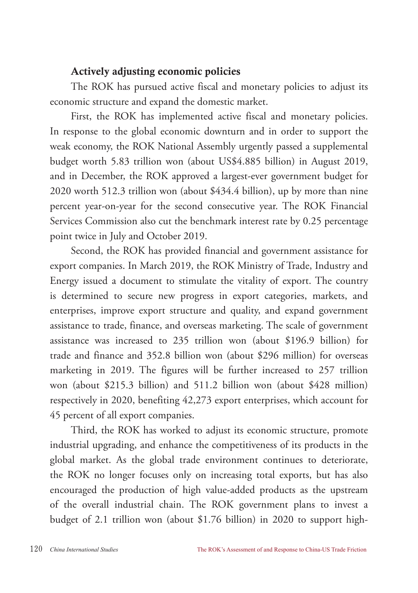#### Actively adjusting economic policies

The ROK has pursued active fiscal and monetary policies to adjust its economic structure and expand the domestic market.

First, the ROK has implemented active fiscal and monetary policies. In response to the global economic downturn and in order to support the weak economy, the ROK National Assembly urgently passed a supplemental budget worth 5.83 trillion won (about US\$4.885 billion) in August 2019, and in December, the ROK approved a largest-ever government budget for 2020 worth 512.3 trillion won (about \$434.4 billion), up by more than nine percent year-on-year for the second consecutive year. The ROK Financial Services Commission also cut the benchmark interest rate by 0.25 percentage point twice in July and October 2019.

Second, the ROK has provided financial and government assistance for export companies. In March 2019, the ROK Ministry of Trade, Industry and Energy issued a document to stimulate the vitality of export. The country is determined to secure new progress in export categories, markets, and enterprises, improve export structure and quality, and expand government assistance to trade, finance, and overseas marketing. The scale of government assistance was increased to 235 trillion won (about \$196.9 billion) for trade and finance and 352.8 billion won (about \$296 million) for overseas marketing in 2019. The figures will be further increased to 257 trillion won (about \$215.3 billion) and 511.2 billion won (about \$428 million) respectively in 2020, benefiting 42,273 export enterprises, which account for 45 percent of all export companies.

Third, the ROK has worked to adjust its economic structure, promote industrial upgrading, and enhance the competitiveness of its products in the global market. As the global trade environment continues to deteriorate, the ROK no longer focuses only on increasing total exports, but has also encouraged the production of high value-added products as the upstream of the overall industrial chain. The ROK government plans to invest a budget of 2.1 trillion won (about \$1.76 billion) in 2020 to support high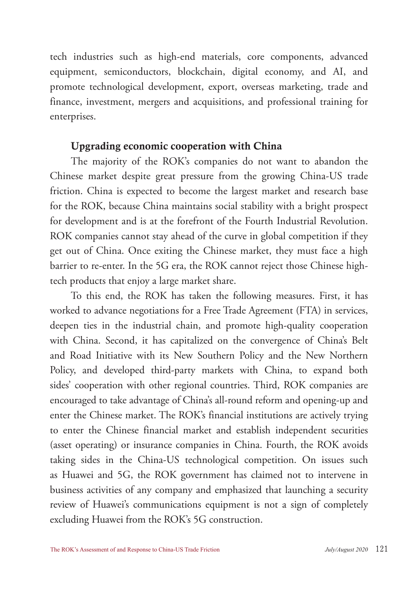tech industries such as high-end materials, core components, advanced equipment, semiconductors, blockchain, digital economy, and AI, and promote technological development, export, overseas marketing, trade and finance, investment, mergers and acquisitions, and professional training for enterprises.

#### Upgrading economic cooperation with China

The majority of the ROK's companies do not want to abandon the Chinese market despite great pressure from the growing China-US trade friction. China is expected to become the largest market and research base for the ROK, because China maintains social stability with a bright prospect for development and is at the forefront of the Fourth Industrial Revolution. ROK companies cannot stay ahead of the curve in global competition if they get out of China. Once exiting the Chinese market, they must face a high barrier to re-enter. In the 5G era, the ROK cannot reject those Chinese hightech products that enjoy a large market share.

To this end, the ROK has taken the following measures. First, it has worked to advance negotiations for a Free Trade Agreement (FTA) in services, deepen ties in the industrial chain, and promote high-quality cooperation with China. Second, it has capitalized on the convergence of China's Belt and Road Initiative with its New Southern Policy and the New Northern Policy, and developed third-party markets with China, to expand both sides' cooperation with other regional countries. Third, ROK companies are encouraged to take advantage of China's all-round reform and opening-up and enter the Chinese market. The ROK's financial institutions are actively trying to enter the Chinese financial market and establish independent securities (asset operating) or insurance companies in China. Fourth, the ROK avoids taking sides in the China-US technological competition. On issues such as Huawei and 5G, the ROK government has claimed not to intervene in business activities of any company and emphasized that launching a security review of Huawei's communications equipment is not a sign of completely excluding Huawei from the ROK's 5G construction.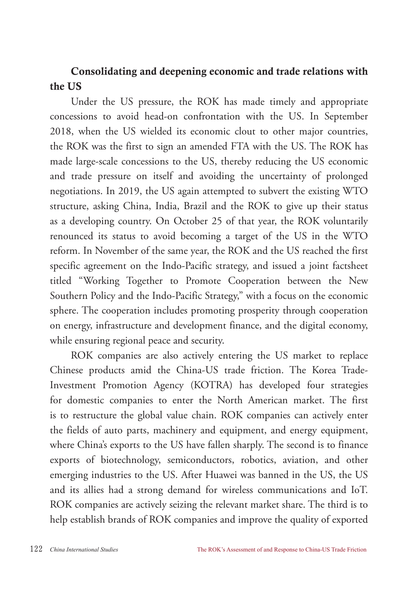## Consolidating and deepening economic and trade relations with the US

Under the US pressure, the ROK has made timely and appropriate concessions to avoid head-on confrontation with the US. In September 2018, when the US wielded its economic clout to other major countries, the ROK was the first to sign an amended FTA with the US. The ROK has made large-scale concessions to the US, thereby reducing the US economic and trade pressure on itself and avoiding the uncertainty of prolonged negotiations. In 2019, the US again attempted to subvert the existing WTO structure, asking China, India, Brazil and the ROK to give up their status as a developing country. On October 25 of that year, the ROK voluntarily renounced its status to avoid becoming a target of the US in the WTO reform. In November of the same year, the ROK and the US reached the first specific agreement on the Indo-Pacific strategy, and issued a joint factsheet titled "Working Together to Promote Cooperation between the New Southern Policy and the Indo-Pacific Strategy," with a focus on the economic sphere. The cooperation includes promoting prosperity through cooperation on energy, infrastructure and development finance, and the digital economy, while ensuring regional peace and security.

ROK companies are also actively entering the US market to replace Chinese products amid the China-US trade friction. The Korea Trade-Investment Promotion Agency (KOTRA) has developed four strategies for domestic companies to enter the North American market. The first is to restructure the global value chain. ROK companies can actively enter the fields of auto parts, machinery and equipment, and energy equipment, where China's exports to the US have fallen sharply. The second is to finance exports of biotechnology, semiconductors, robotics, aviation, and other emerging industries to the US. After Huawei was banned in the US, the US and its allies had a strong demand for wireless communications and IoT. ROK companies are actively seizing the relevant market share. The third is to help establish brands of ROK companies and improve the quality of exported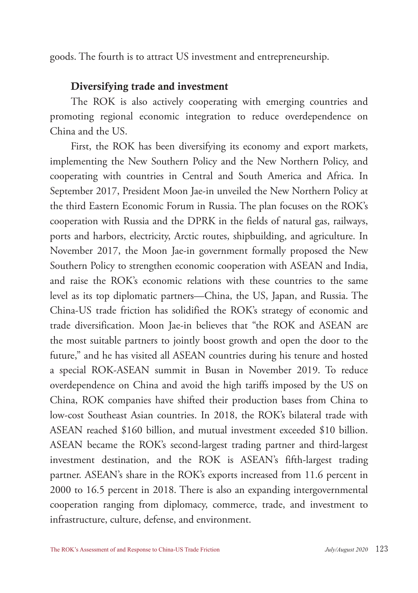goods. The fourth is to attract US investment and entrepreneurship.

#### Diversifying trade and investment

The ROK is also actively cooperating with emerging countries and promoting regional economic integration to reduce overdependence on China and the US.

First, the ROK has been diversifying its economy and export markets, implementing the New Southern Policy and the New Northern Policy, and cooperating with countries in Central and South America and Africa. In September 2017, President Moon Jae-in unveiled the New Northern Policy at the third Eastern Economic Forum in Russia. The plan focuses on the ROK's cooperation with Russia and the DPRK in the fields of natural gas, railways, ports and harbors, electricity, Arctic routes, shipbuilding, and agriculture. In November 2017, the Moon Jae-in government formally proposed the New Southern Policy to strengthen economic cooperation with ASEAN and India, and raise the ROK's economic relations with these countries to the same level as its top diplomatic partners—China, the US, Japan, and Russia. The China-US trade friction has solidified the ROK's strategy of economic and trade diversification. Moon Jae-in believes that "the ROK and ASEAN are the most suitable partners to jointly boost growth and open the door to the future," and he has visited all ASEAN countries during his tenure and hosted a special ROK-ASEAN summit in Busan in November 2019. To reduce overdependence on China and avoid the high tariffs imposed by the US on China, ROK companies have shifted their production bases from China to low-cost Southeast Asian countries. In 2018, the ROK's bilateral trade with ASEAN reached \$160 billion, and mutual investment exceeded \$10 billion. ASEAN became the ROK's second-largest trading partner and third-largest investment destination, and the ROK is ASEAN's fifth-largest trading partner. ASEAN's share in the ROK's exports increased from 11.6 percent in 2000 to 16.5 percent in 2018. There is also an expanding intergovernmental cooperation ranging from diplomacy, commerce, trade, and investment to infrastructure, culture, defense, and environment.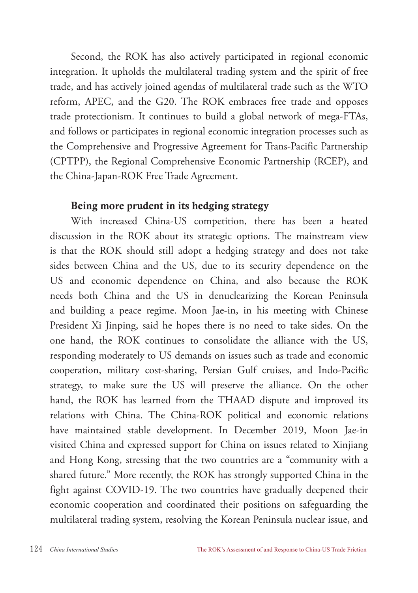Second, the ROK has also actively participated in regional economic integration. It upholds the multilateral trading system and the spirit of free trade, and has actively joined agendas of multilateral trade such as the WTO reform, APEC, and the G20. The ROK embraces free trade and opposes trade protectionism. It continues to build a global network of mega-FTAs, and follows or participates in regional economic integration processes such as the Comprehensive and Progressive Agreement for Trans-Pacific Partnership (CPTPP), the Regional Comprehensive Economic Partnership (RCEP), and the China-Japan-ROK Free Trade Agreement.

#### Being more prudent in its hedging strategy

With increased China-US competition, there has been a heated discussion in the ROK about its strategic options. The mainstream view is that the ROK should still adopt a hedging strategy and does not take sides between China and the US, due to its security dependence on the US and economic dependence on China, and also because the ROK needs both China and the US in denuclearizing the Korean Peninsula and building a peace regime. Moon Jae-in, in his meeting with Chinese President Xi Jinping, said he hopes there is no need to take sides. On the one hand, the ROK continues to consolidate the alliance with the US, responding moderately to US demands on issues such as trade and economic cooperation, military cost-sharing, Persian Gulf cruises, and Indo-Pacific strategy, to make sure the US will preserve the alliance. On the other hand, the ROK has learned from the THAAD dispute and improved its relations with China. The China-ROK political and economic relations have maintained stable development. In December 2019, Moon Jae-in visited China and expressed support for China on issues related to Xinjiang and Hong Kong, stressing that the two countries are a "community with a shared future." More recently, the ROK has strongly supported China in the fight against COVID-19. The two countries have gradually deepened their economic cooperation and coordinated their positions on safeguarding the multilateral trading system, resolving the Korean Peninsula nuclear issue, and